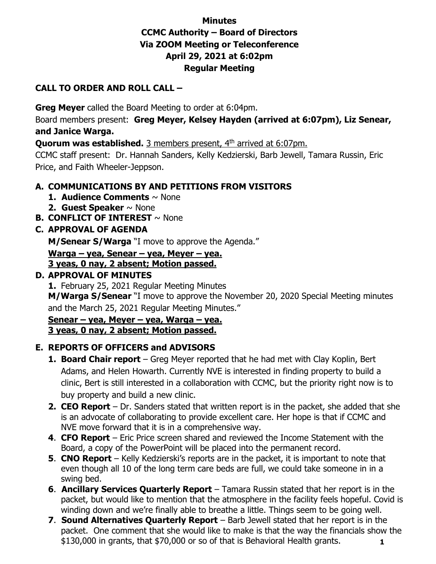## **Minutes CCMC Authority – Board of Directors Via ZOOM Meeting or Teleconference April 29, 2021 at 6:02pm Regular Meeting**

#### **CALL TO ORDER AND ROLL CALL –**

**Greg Meyer** called the Board Meeting to order at 6:04pm.

Board members present: **Greg Meyer, Kelsey Hayden (arrived at 6:07pm), Liz Senear, and Janice Warga.** 

**Quorum was established.** 3 members present, 4<sup>th</sup> arrived at 6:07pm.

CCMC staff present: Dr. Hannah Sanders, Kelly Kedzierski, Barb Jewell, Tamara Russin, Eric Price, and Faith Wheeler-Jeppson.

### **A. COMMUNICATIONS BY AND PETITIONS FROM VISITORS**

- **1. Audience Comments** ~ None
- **2. Guest Speaker** ~ None
- **B. CONFLICT OF INTEREST** ~ None

### **C. APPROVAL OF AGENDA**

**M/Senear S/Warga** "I move to approve the Agenda."

**Warga – yea, Senear – yea, Meyer – yea.**

**3 yeas, 0 nay, 2 absent; Motion passed.**

### **D. APPROVAL OF MINUTES**

**1.** February 25, 2021 Regular Meeting Minutes **M/Warga S/Senear** "I move to approve the November 20, 2020 Special Meeting minutes and the March 25, 2021 Regular Meeting Minutes."

**Senear – yea, Meyer – yea, Warga – yea. 3 yeas, 0 nay, 2 absent; Motion passed.**

## **E. REPORTS OF OFFICERS and ADVISORS**

- **1. Board Chair report** Greg Meyer reported that he had met with Clay Koplin, Bert Adams, and Helen Howarth. Currently NVE is interested in finding property to build a clinic, Bert is still interested in a collaboration with CCMC, but the priority right now is to buy property and build a new clinic.
- **2. CEO Report** Dr. Sanders stated that written report is in the packet, she added that she is an advocate of collaborating to provide excellent care. Her hope is that if CCMC and NVE move forward that it is in a comprehensive way.
- **4**. **CFO Report** Eric Price screen shared and reviewed the Income Statement with the Board, a copy of the PowerPoint will be placed into the permanent record.
- **5**. **CNO Report** Kelly Kedzierski's reports are in the packet, it is important to note that even though all 10 of the long term care beds are full, we could take someone in in a swing bed.
- **6**. **Ancillary Services Quarterly Report** Tamara Russin stated that her report is in the packet, but would like to mention that the atmosphere in the facility feels hopeful. Covid is winding down and we're finally able to breathe a little. Things seem to be going well.
- **7**. **Sound Alternatives Quarterly Report** Barb Jewell stated that her report is in the packet. One comment that she would like to make is that the way the financials show the \$130,000 in grants, that \$70,000 or so of that is Behavioral Health grants. **1**